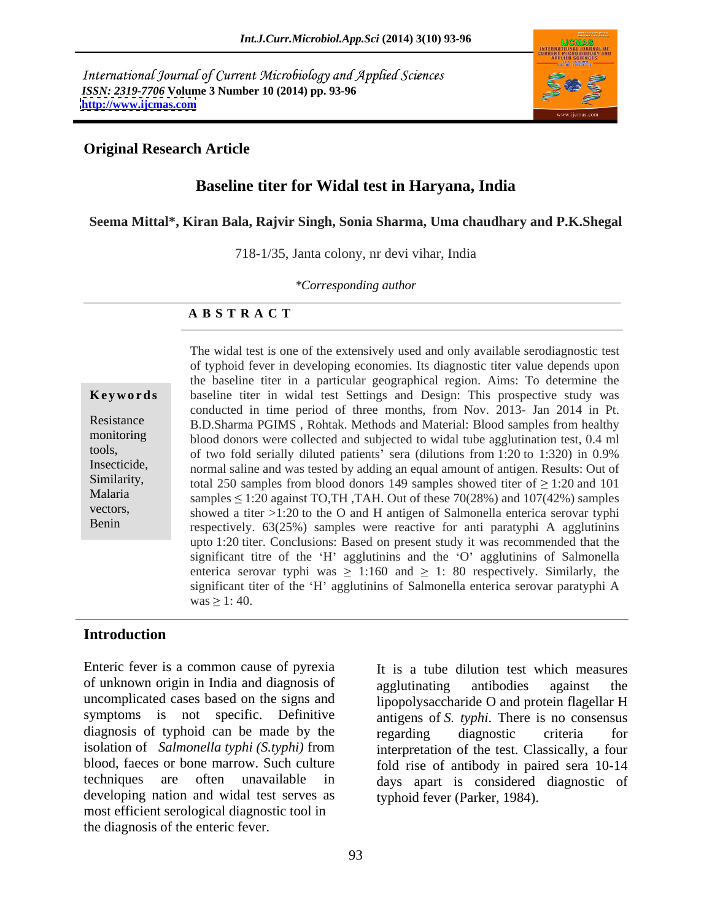International Journal of Current Microbiology and Applied Sciences *ISSN: 2319-7706* **Volume 3 Number 10 (2014) pp. 93-96 <http://www.ijcmas.com>**



# **Original Research Article**

# **Baseline titer for Widal test in Haryana, India**

### **Seema Mittal\*, Kiran Bala, Rajvir Singh, Sonia Sharma, Uma chaudhary and P.K.Shegal**

718-1/35, Janta colony, nr devi vihar, India

*\*Corresponding author* 

### **A B S T R A C T**

**Keywords** baseline titer in widal test Settings and Design: This prospective study was Resistance B.D.Sharma PGIMS, Rohtak. Methods and Material: Blood samples from healthy monitoring blood donors were collected and subjected to widal tube agglutination test, 0.4 ml tools, of two fold serially diluted patients sera (dilutions from 1:20 to 1:320) in 0.9% Insecticide, normal saline and was tested by adding an equal amount of antigen. Results: Out of Similarity, total 250 samples from blood donors 149 samples showed titer of  $\geq$  1:20 and 101 Malaria samples  $\leq 1:20$  against TO,TH, TAH. Out of these 70(28%) and 107(42%) samples vectors, showed a titer  $>1:20$  to the O and H antigen of Salmonella enterica serovar typhi Benin respectively. 63(25%) samples were reactive for anti-paratyphi A agglutinins The widal test is one of the extensively used and only available serodiagnostic test of typhoid fever in developing economies. Its diagnostic titer value depends upon the baseline titer in a particular geographical region. Aims: To determine the conducted in time period of three months, from Nov. 2013- Jan 2014 in Pt. upto 1:20 titer. Conclusions: Based on present study it was recommended that the significant titre of the 'H' agglutinins and the 'O' agglutinins of Salmonella enterica serovar typhi was  $\geq 1:160$  and  $\geq 1: 80$  respectively. Similarly, the significant titer of the 'H' agglutinins of Salmonella enterica serovar paratyphi A  $\text{was} \geq 1: 40.$ 

## **Introduction**

Enteric fever is a common cause of pyrexia of unknown origin in India and diagnosis of agglutinating antibodies against the uncomplicated cases based on the signs and lipopolysaccharide O and protein flagellar H symptoms is not specific. Definitive antigens of *S. typhi*. There is no consensus diagnosis of typhoid can be made by the regarding diagnostic criteria for isolation of *Salmonella typhi (S.typhi)* from interpretation of the test. Classically, a four blood, faeces or bone marrow. Such culture fold rise of antibody in paired sera 10-14 techniques are often unavailable in days apart is considered diagnostic of developing nation and widal test serves as most efficient serological diagnostic tool in the diagnosis of the enteric fever.

It is a tube dilution test which measures agglutinating antibodies against the regarding diagnostic criteria for typhoid fever (Parker, 1984).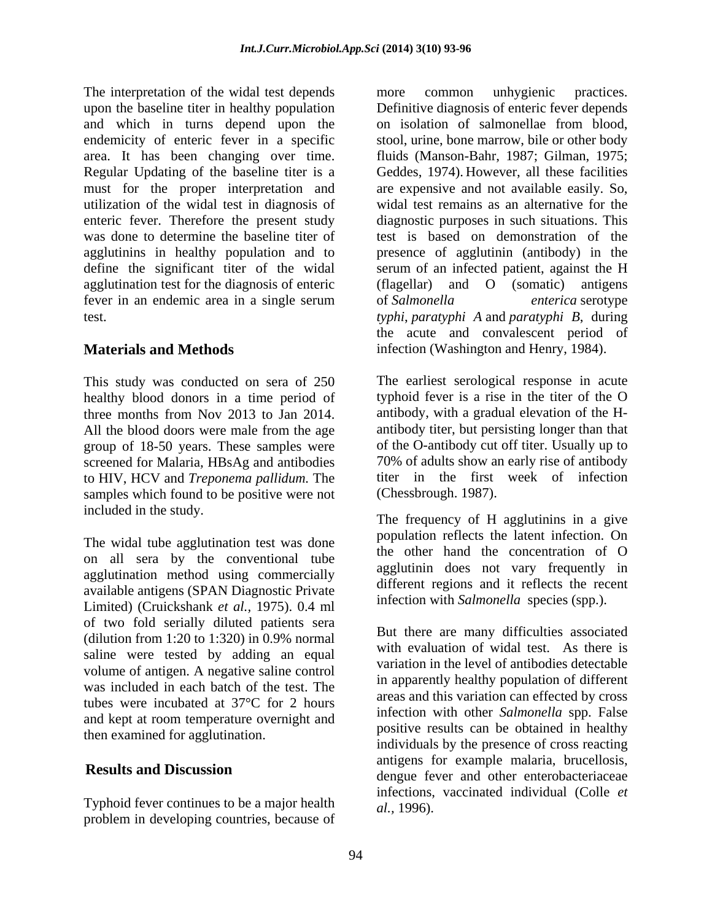The interpretation of the widal test depends more common unhygienic practices. upon the baseline titer in healthy population Definitive diagnosis of enteric fever depends and which in turns depend upon the on isolation of salmonellae from blood, endemicity of enteric fever in a specific stool, urine, bone marrow, bile or other body area. It has been changing over time. fluids (Manson-Bahr, 1987; Gilman, 1975; Regular Updating of the baseline titer is a Geddes, 1974). However, all these facilities must for the proper interpretation and utilization of the widal test in diagnosis of enteric fever. Therefore the present study was done to determine the baseline titer of the test is based on demonstration of the agglutinins in healthy population and to presence of agglutinin (antibody) in the define the significant titer of the widal serum of an infected patient, against the H agglutination test for the diagnosis of enteric (flagellar) and O (somatic) antigens fever in an endemic area in a single serum of Salmonella *enterica* serotype test. *typhi*, *paratyphi A* and *paratyphi B*, during

This study was conducted on sera of 250 group of 18-50 years. These samples were screened for Malaria*,* HBsAg and antibodies to HIV, HCV and *Treponema pallidum.* The samples which found to be positive were not included in the study.

The widal tube agglutination test was done on all sera by the conventional tube agglutination method using commercially available antigens (SPAN Diagnostic Private Limited) (Cruickshank *et al.,* 1975). 0.4 ml of two fold serially diluted patients sera (dilution from 1:20 to 1:320) in 0.9% normal saline were tested by adding an equal volume of antigen. A negative saline control was included in each batch of the test. The tubes were incubated at 37°C for 2 hours and kept at room temperature overnight and then examined for agglutination.

Typhoid fever continues to be a major health problem in developing countries, because of

**Materials and Methods** infection (Washington and Henry, 1984). more common unhygienic practices. on isolation of salmonellae from blood, are expensive and not available easily. So, widal test remains as an alternative for the diagnostic purposes in such situations. This of *Salmonella enterica* serotype the acute and convalescent period of

healthy blood donors in a time period of typhoid fever is a rise in the titer of the O three months from Nov 2013 to Jan 2014. antibody, with a gradual elevation of the H- All the blood doors were male from the age antibody titer, but persisting longer than that The earliest serological response in acute antibody titer, but persisting longer than that of the O-antibody cut off titer. Usually up to 70% of adults show an early rise of antibody titer in the first week of infection (Chessbrough. 1987).

> The frequency of H agglutinins in a give population reflects the latent infection. On the other hand the concentration of O agglutinin does not vary frequently in different regions and it reflects the recent infection with *Salmonella* species (spp.).

**Results and Discussion**<br>dengue fever and other enterobacteriaceae But there are many difficulties associated with evaluation of widal test. As there is variation in the level of antibodies detectable in apparently healthy population of different areas and this variation can effected by cross infection with other *Salmonella* spp. False positive results can be obtained in healthy individuals by the presence of cross reacting antigens for example malaria, brucellosis, infections, vaccinated individual (Colle *et al.,* 1996).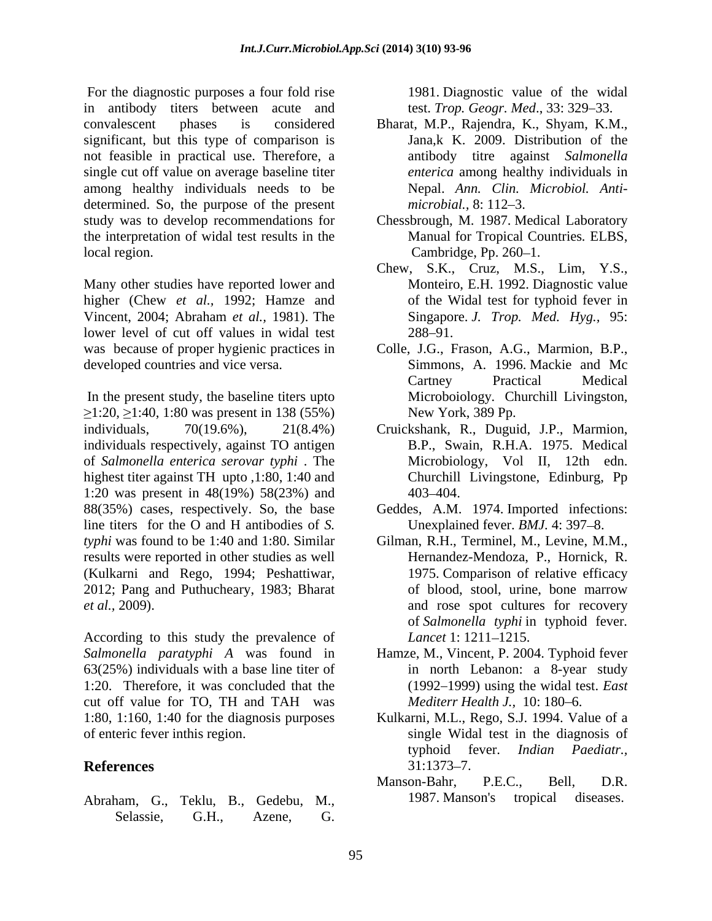For the diagnostic purposes a four fold rise in antibody titers between acute and convalescent phases is considered Bharat, M.P., Rajendra, K., Shyam, K.M., significant, but this type of comparison is Jana, k K. 2009. Distribution of the not feasible in practical use. Therefore, a single cut off value on average baseline titer among healthy individuals needs to be determined. So, the purpose of the present *microbial.*, 8:112–3. study was to develop recommendations for Chessbrough, M. 1987. Medical Laboratory the interpretation of widal test results in the local region. Cambridge, Pp. 260–1.

Many other studies have reported lower and Monteiro, E.H. 1992. Diagnostic value higher (Chew *et al.,* 1992; Hamze and Vincent, 2004; Abraham *et al.,* 1981). The lower level of cut off values in widal test 288–91. was because of proper hygienic practices in Colle, J.G., Frason, A.G., Marmion, B.P., developed countries and vice versa. Simmons, A. 1996. Mackie and Mc

In the present study, the baseline titers upto  $\geq$ 1:20,  $\geq$ 1:40, 1:80 was present in 138 (55%) individuals, 70(19.6%), 21(8.4%) Cruickshank, R., Duguid, J.P., Marmion, individuals respectively, against TO antigen of *Salmonella enterica serovar typhi* . The highest titer against TH upto ,1:80, 1:40 and 1:20 was present in 48(19%) 58(23%) and 88(35%) cases, respectively. So, the base Geddes, A.M. 1974. Imported infections: line titers for the O and H antibodies of *S. typhi* was found to be 1:40 and 1:80. Similar Gilman, R.H., Terminel, M., Levine, M.M., results were reported in other studies as well (Kulkarni and Rego, 1994; Peshattiwar, 2012; Pang and Puthucheary, 1983; Bharat

According to this study the prevalence of *Lancet* 1: 1211–1215. *Salmonella paratyphi A* was found in Hamze, M., Vincent, P. 2004. Typhoid fever 63(25%) individuals with a base line titer of in north Lebanon: a 8-year study 1:20. Therefore, it was concluded that the cut off value for TO, TH and TAH was

Abraham, G., Teklu, B., Gedebu, M., 1987. Manson's tropical diseases.<br>Selassie, G.H., Azene, G.

1981. Diagnostic value of the widal test. *Trop. Geogr. Med.*, 33: 329–33.

- Bharat, M.P., Rajendra, K., Shyam, K.M., Jana,k K. 2009. Distribution of the antibody titre against *Salmonella enterica* among healthy individuals in Nepal. *Ann. Clin. Microbiol. Anti microbial.,* 8: 112–3.
- Manual for Tropical Countries*.* ELBS, Cambridge, Pp. 260–1.
- Chew, S.K., Cruz, M.S., Lim, Y.S., Monteiro, E.H. 1992. Diagnostic value of the Widal test for typhoid fever in Singapore. *J. Trop. Med. Hyg.,* 95:  $288 - 91.$
- Colle,J.G., Frason, A.G., Marmion, B.P., Simmons, A. 1996. Mackie and Mc Cartney Practical Medical Microboiology*.* Churchill Livingston, New York, 389 Pp.
- B.P., Swain, R.H.A. 1975. Medical Microbiology, Vol II, 12th edn. Churchill Livingstone, Edinburg, Pp 403 404.
- Unexplained fever. *BMJ*. 4: 397–8.
- *et al.*, 2009). **and** rose spot cultures for recovery Gilman, R.H., Terminel, M., Levine, M.M.,<br>Hernandez-Mendoza, P., Hornick, R.<br>1975. Comparison of relative efficacy of blood, stool, urine, bone marrow of *Salmonella typhi* in typhoid fever.<br>*Lancet* 1: 1211–1215.
	- (1992 1999) using the widal test. *East Mediterr Health J., 10: 180-6.*
- 1:80, 1:160, 1:40 for the diagnosis purposes Kulkarni, M.L., Rego, S.J. 1994. Value of a of enteric fever inthis region. single Widal test in the diagnosis of **References** 31:1373–7. typhoid fever. *Indian Paediatr.,*  $31:1373 - 7.$ 
	- Manson-Bahr, P.E.C., Bell, D.R. 1987. Manson's tropical diseases.